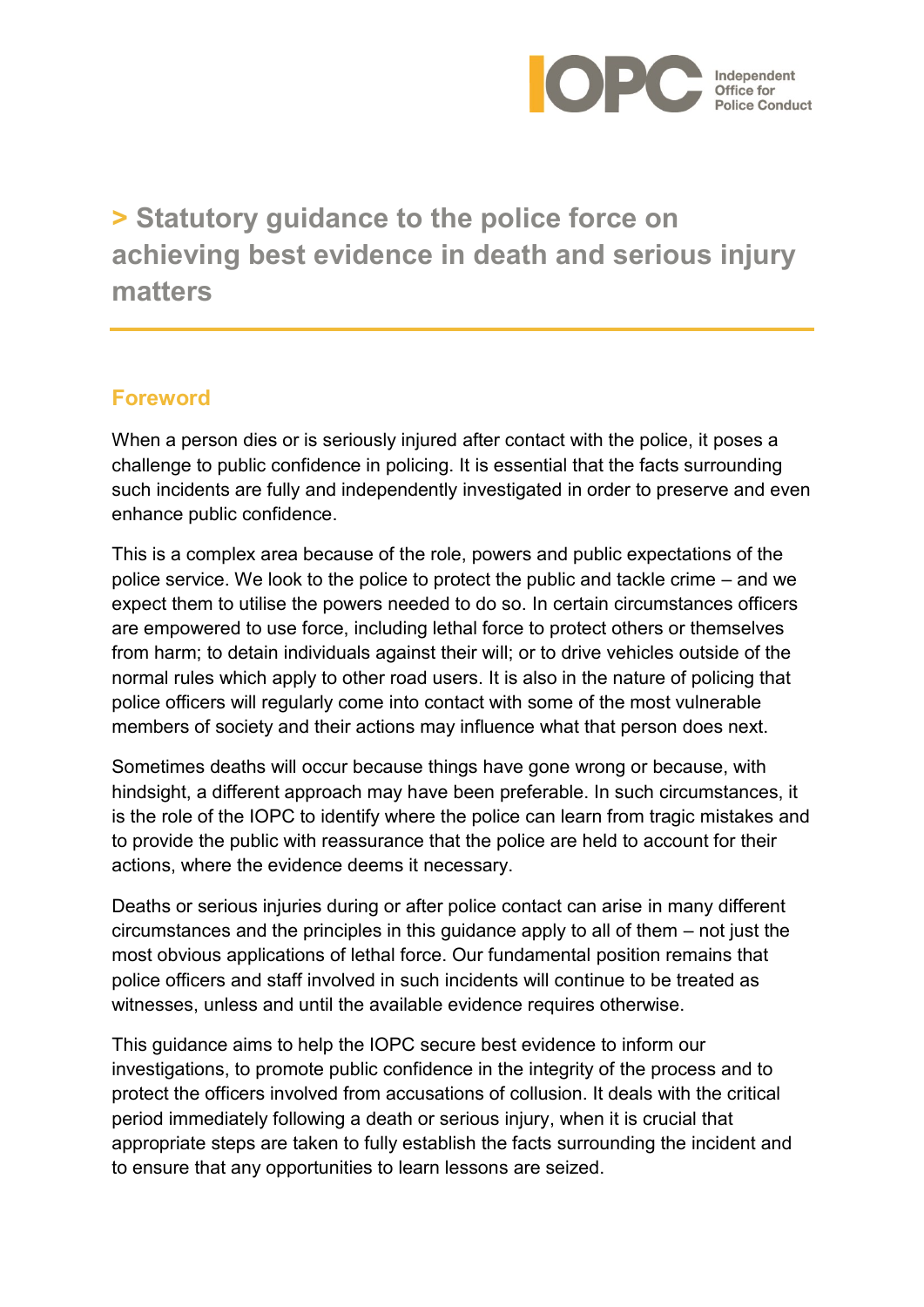

# **> Statutory guidance to the police force on achieving best evidence in death and serious injury matters**

## **Foreword**

When a person dies or is seriously injured after contact with the police, it poses a challenge to public confidence in policing. It is essential that the facts surrounding such incidents are fully and independently investigated in order to preserve and even enhance public confidence.

This is a complex area because of the role, powers and public expectations of the police service. We look to the police to protect the public and tackle crime – and we expect them to utilise the powers needed to do so. In certain circumstances officers are empowered to use force, including lethal force to protect others or themselves from harm; to detain individuals against their will; or to drive vehicles outside of the normal rules which apply to other road users. It is also in the nature of policing that police officers will regularly come into contact with some of the most vulnerable members of society and their actions may influence what that person does next.

Sometimes deaths will occur because things have gone wrong or because, with hindsight, a different approach may have been preferable. In such circumstances, it is the role of the IOPC to identify where the police can learn from tragic mistakes and to provide the public with reassurance that the police are held to account for their actions, where the evidence deems it necessary.

Deaths or serious injuries during or after police contact can arise in many different circumstances and the principles in this guidance apply to all of them – not just the most obvious applications of lethal force. Our fundamental position remains that police officers and staff involved in such incidents will continue to be treated as witnesses, unless and until the available evidence requires otherwise.

This guidance aims to help the IOPC secure best evidence to inform our investigations, to promote public confidence in the integrity of the process and to protect the officers involved from accusations of collusion. It deals with the critical period immediately following a death or serious injury, when it is crucial that appropriate steps are taken to fully establish the facts surrounding the incident and to ensure that any opportunities to learn lessons are seized.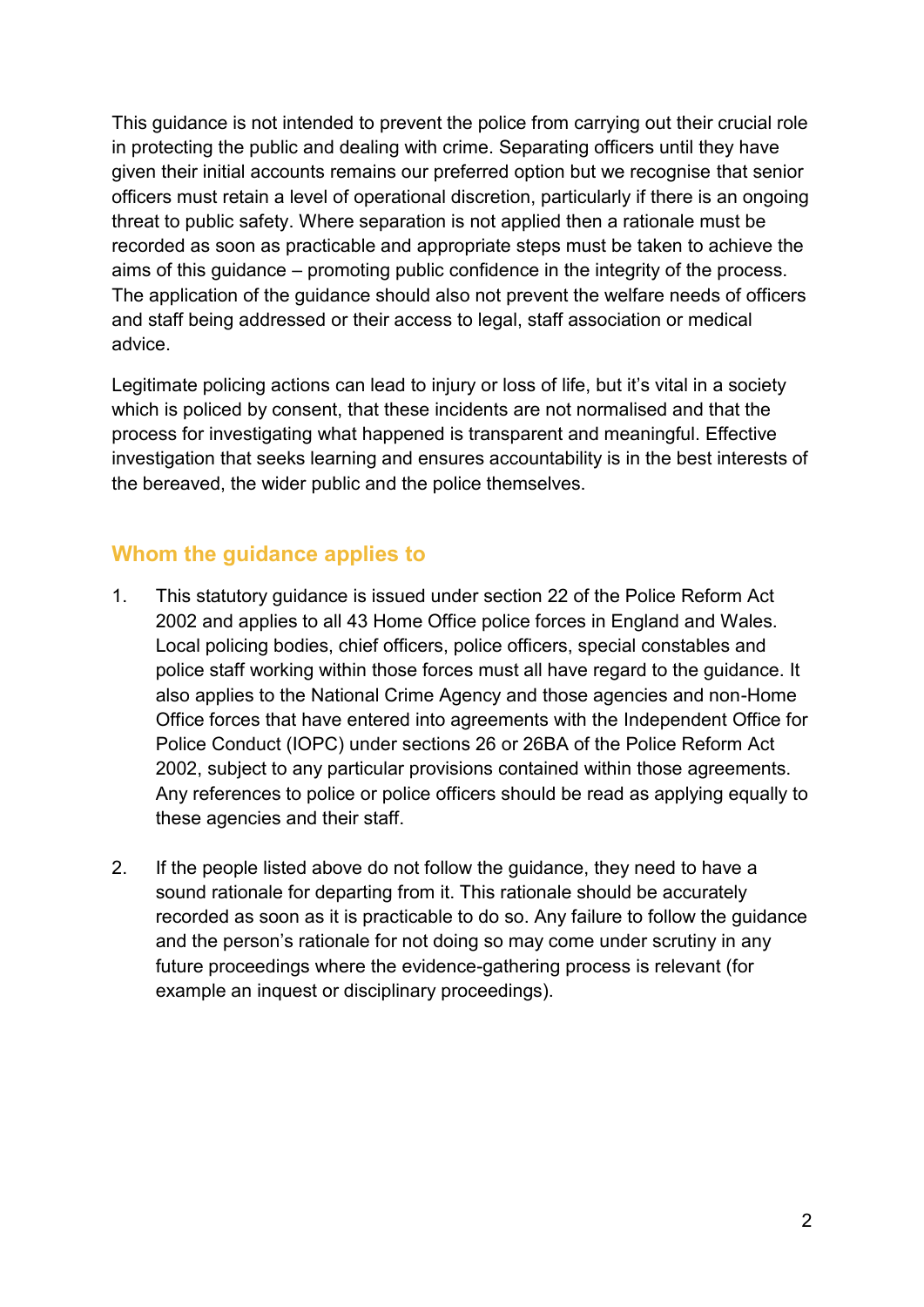This guidance is not intended to prevent the police from carrying out their crucial role in protecting the public and dealing with crime. Separating officers until they have given their initial accounts remains our preferred option but we recognise that senior officers must retain a level of operational discretion, particularly if there is an ongoing threat to public safety. Where separation is not applied then a rationale must be recorded as soon as practicable and appropriate steps must be taken to achieve the aims of this guidance – promoting public confidence in the integrity of the process. The application of the guidance should also not prevent the welfare needs of officers and staff being addressed or their access to legal, staff association or medical advice.

Legitimate policing actions can lead to injury or loss of life, but it's vital in a society which is policed by consent, that these incidents are not normalised and that the process for investigating what happened is transparent and meaningful. Effective investigation that seeks learning and ensures accountability is in the best interests of the bereaved, the wider public and the police themselves.

#### **Whom the guidance applies to**

- 1. This statutory guidance is issued under section 22 of the Police Reform Act 2002 and applies to all 43 Home Office police forces in England and Wales. Local policing bodies, chief officers, police officers, special constables and police staff working within those forces must all have regard to the guidance. It also applies to the National Crime Agency and those agencies and non-Home Office forces that have entered into agreements with the Independent Office for Police Conduct (IOPC) under sections 26 or 26BA of the Police Reform Act 2002, subject to any particular provisions contained within those agreements. Any references to police or police officers should be read as applying equally to these agencies and their staff.
- 2. If the people listed above do not follow the guidance, they need to have a sound rationale for departing from it. This rationale should be accurately recorded as soon as it is practicable to do so. Any failure to follow the guidance and the person's rationale for not doing so may come under scrutiny in any future proceedings where the evidence-gathering process is relevant (for example an inquest or disciplinary proceedings).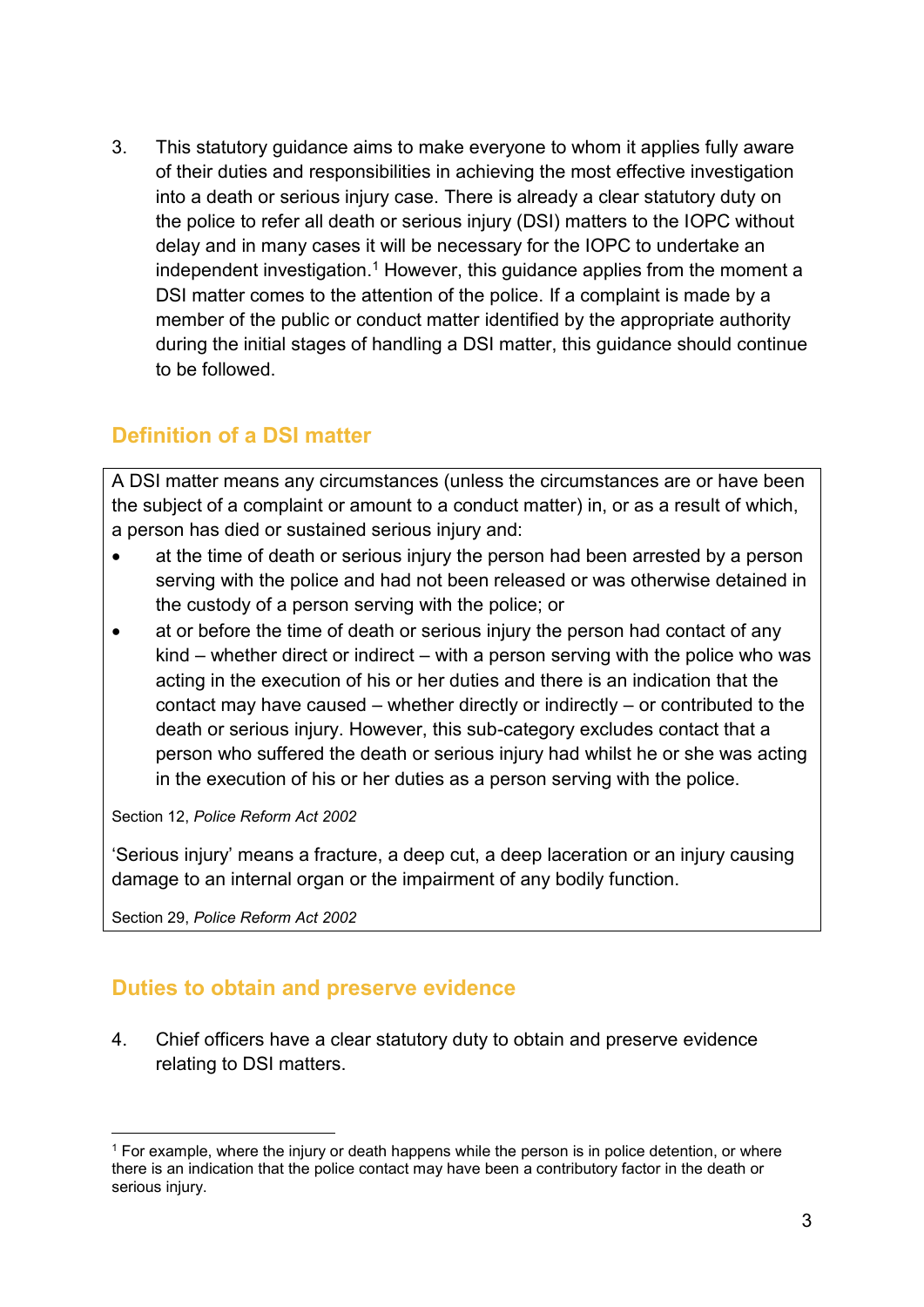3. This statutory guidance aims to make everyone to whom it applies fully aware of their duties and responsibilities in achieving the most effective investigation into a death or serious injury case. There is already a clear statutory duty on the police to refer all death or serious injury (DSI) matters to the IOPC without delay and in many cases it will be necessary for the IOPC to undertake an independent investigation.<sup>1</sup> However, this guidance applies from the moment a DSI matter comes to the attention of the police. If a complaint is made by a member of the public or conduct matter identified by the appropriate authority during the initial stages of handling a DSI matter, this guidance should continue to be followed.

# **Definition of a DSI matter**

A DSI matter means any circumstances (unless the circumstances are or have been the subject of a complaint or amount to a conduct matter) in, or as a result of which, a person has died or sustained serious injury and:

- at the time of death or serious injury the person had been arrested by a person serving with the police and had not been released or was otherwise detained in the custody of a person serving with the police; or
- at or before the time of death or serious injury the person had contact of any kind – whether direct or indirect – with a person serving with the police who was acting in the execution of his or her duties and there is an indication that the contact may have caused – whether directly or indirectly – or contributed to the death or serious injury. However, this sub-category excludes contact that a person who suffered the death or serious injury had whilst he or she was acting in the execution of his or her duties as a person serving with the police.

Section 12, *Police Reform Act 2002*

'Serious injury' means a fracture, a deep cut, a deep laceration or an injury causing damage to an internal organ or the impairment of any bodily function.

Section 29, *Police Reform Act 2002*

 $\overline{\phantom{a}}$ 

## **Duties to obtain and preserve evidence**

4. Chief officers have a clear statutory duty to obtain and preserve evidence relating to DSI matters.

<sup>1</sup> For example, where the injury or death happens while the person is in police detention, or where there is an indication that the police contact may have been a contributory factor in the death or serious injury.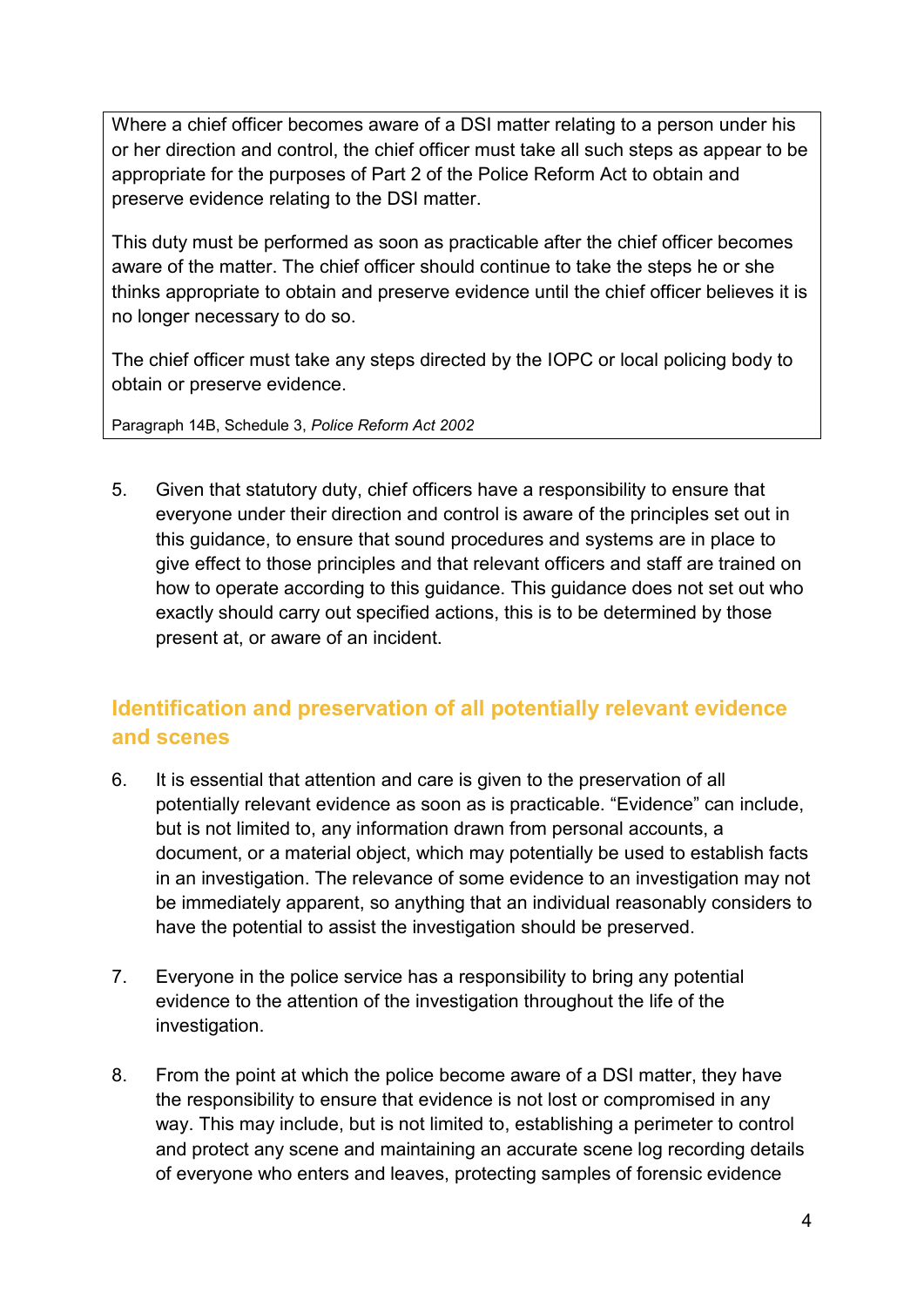Where a chief officer becomes aware of a DSI matter relating to a person under his or her direction and control, the chief officer must take all such steps as appear to be appropriate for the purposes of Part 2 of the Police Reform Act to obtain and preserve evidence relating to the DSI matter.

This duty must be performed as soon as practicable after the chief officer becomes aware of the matter. The chief officer should continue to take the steps he or she thinks appropriate to obtain and preserve evidence until the chief officer believes it is no longer necessary to do so.

The chief officer must take any steps directed by the IOPC or local policing body to obtain or preserve evidence.

Paragraph 14B, Schedule 3, *Police Reform Act 2002*

5. Given that statutory duty, chief officers have a responsibility to ensure that everyone under their direction and control is aware of the principles set out in this guidance, to ensure that sound procedures and systems are in place to give effect to those principles and that relevant officers and staff are trained on how to operate according to this guidance. This guidance does not set out who exactly should carry out specified actions, this is to be determined by those present at, or aware of an incident.

# **Identification and preservation of all potentially relevant evidence and scenes**

- 6. It is essential that attention and care is given to the preservation of all potentially relevant evidence as soon as is practicable. "Evidence" can include, but is not limited to, any information drawn from personal accounts, a document, or a material object, which may potentially be used to establish facts in an investigation. The relevance of some evidence to an investigation may not be immediately apparent, so anything that an individual reasonably considers to have the potential to assist the investigation should be preserved.
- 7. Everyone in the police service has a responsibility to bring any potential evidence to the attention of the investigation throughout the life of the investigation.
- 8. From the point at which the police become aware of a DSI matter, they have the responsibility to ensure that evidence is not lost or compromised in any way. This may include, but is not limited to, establishing a perimeter to control and protect any scene and maintaining an accurate scene log recording details of everyone who enters and leaves, protecting samples of forensic evidence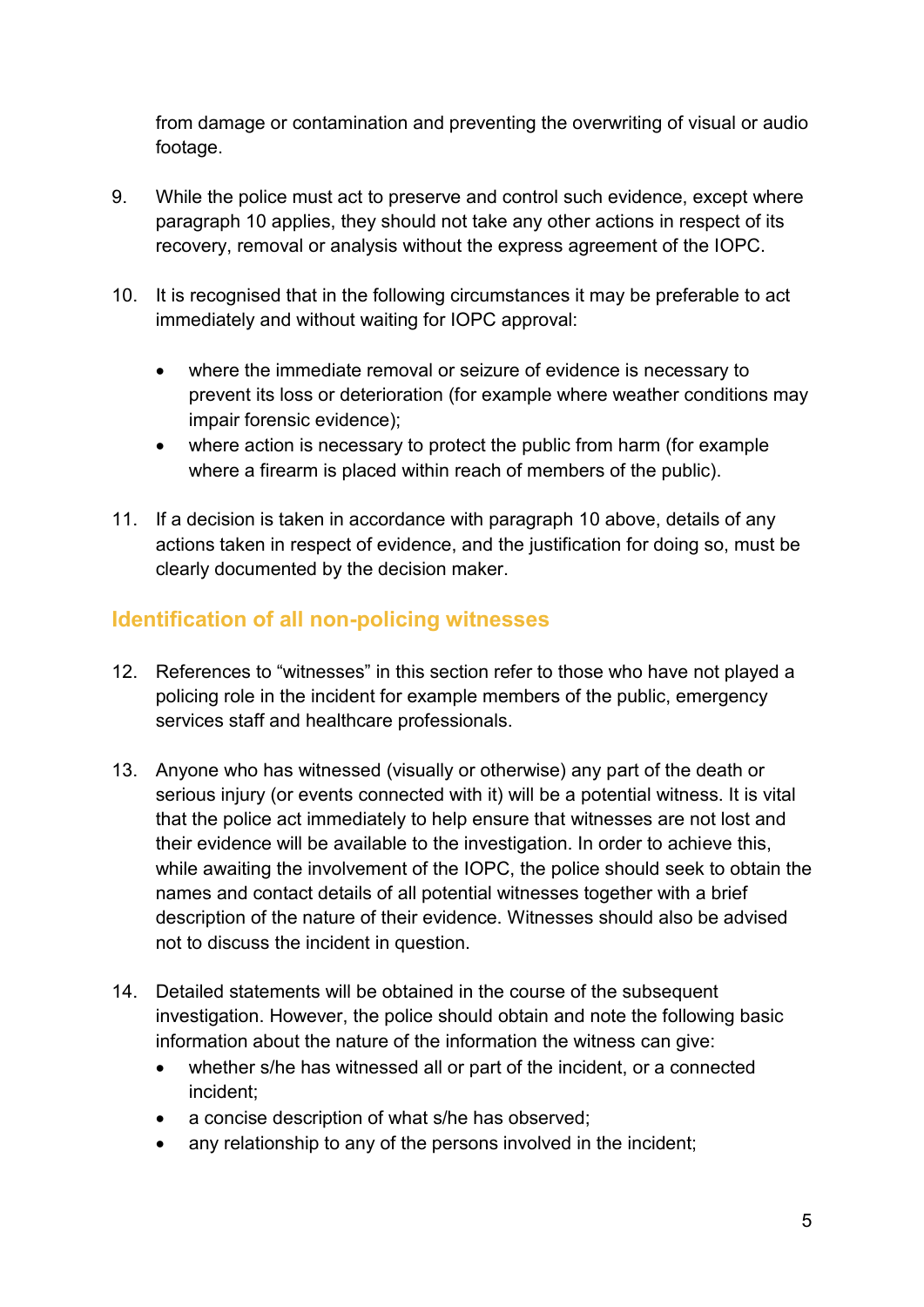from damage or contamination and preventing the overwriting of visual or audio footage.

- 9. While the police must act to preserve and control such evidence, except where paragraph 10 applies, they should not take any other actions in respect of its recovery, removal or analysis without the express agreement of the IOPC.
- 10. It is recognised that in the following circumstances it may be preferable to act immediately and without waiting for IOPC approval:
	- where the immediate removal or seizure of evidence is necessary to prevent its loss or deterioration (for example where weather conditions may impair forensic evidence);
	- where action is necessary to protect the public from harm (for example where a firearm is placed within reach of members of the public).
- 11. If a decision is taken in accordance with paragraph 10 above, details of any actions taken in respect of evidence, and the justification for doing so, must be clearly documented by the decision maker.

## **Identification of all non-policing witnesses**

- 12. References to "witnesses" in this section refer to those who have not played a policing role in the incident for example members of the public, emergency services staff and healthcare professionals.
- 13. Anyone who has witnessed (visually or otherwise) any part of the death or serious injury (or events connected with it) will be a potential witness. It is vital that the police act immediately to help ensure that witnesses are not lost and their evidence will be available to the investigation. In order to achieve this, while awaiting the involvement of the IOPC, the police should seek to obtain the names and contact details of all potential witnesses together with a brief description of the nature of their evidence. Witnesses should also be advised not to discuss the incident in question.
- 14. Detailed statements will be obtained in the course of the subsequent investigation. However, the police should obtain and note the following basic information about the nature of the information the witness can give:
	- whether s/he has witnessed all or part of the incident, or a connected incident;
	- a concise description of what s/he has observed;
	- any relationship to any of the persons involved in the incident;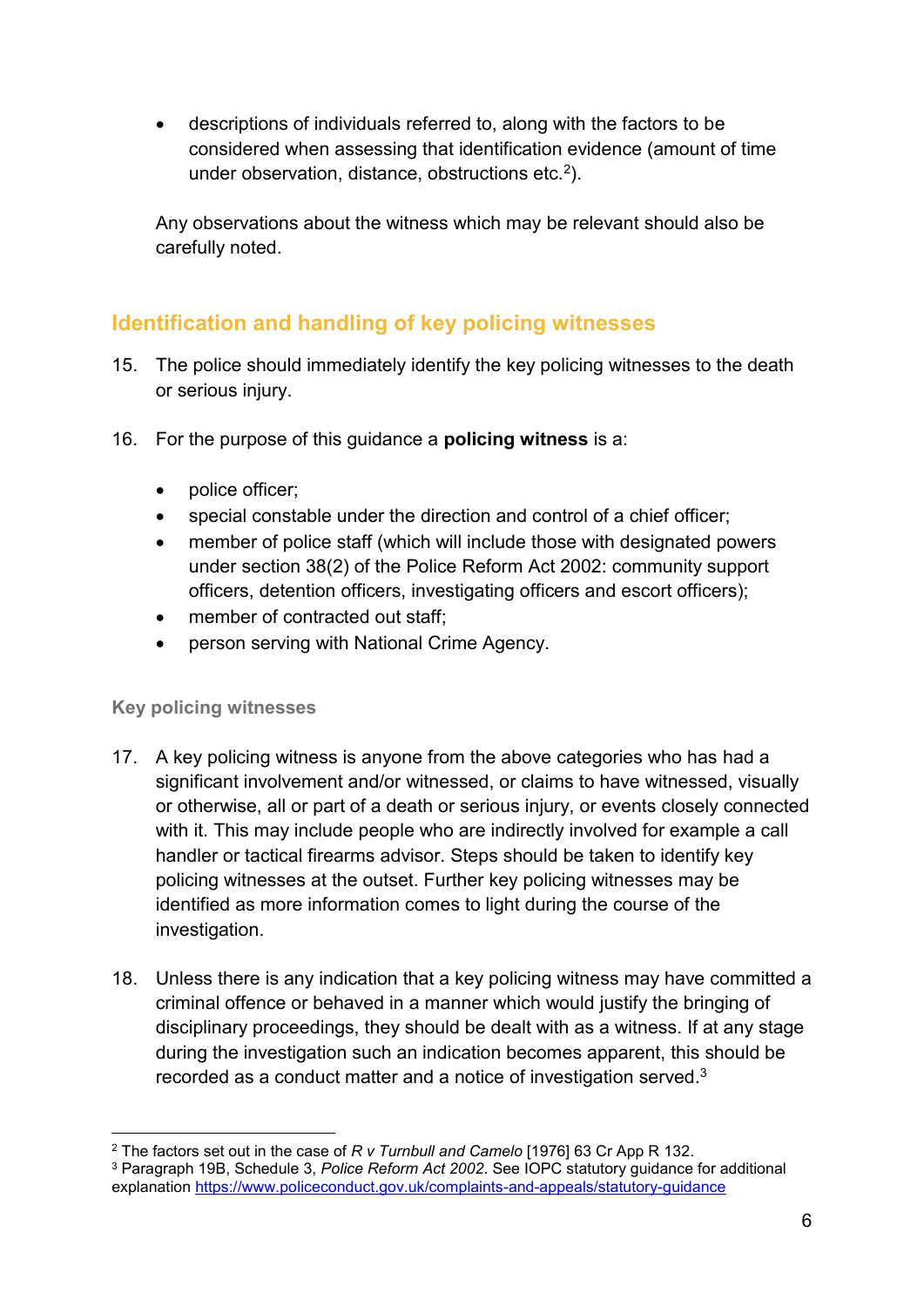• descriptions of individuals referred to, along with the factors to be considered when assessing that identification evidence (amount of time under observation, distance, obstructions etc.<sup>2</sup>).

Any observations about the witness which may be relevant should also be carefully noted.

## **Identification and handling of key policing witnesses**

- 15. The police should immediately identify the key policing witnesses to the death or serious injury.
- 16. For the purpose of this guidance a **policing witness** is a:
	- police officer;
	- special constable under the direction and control of a chief officer;
	- member of police staff (which will include those with designated powers under section 38(2) of the Police Reform Act 2002: community support officers, detention officers, investigating officers and escort officers);
	- member of contracted out staff;
	- person serving with National Crime Agency.

#### **Key policing witnesses**

 $\overline{\phantom{a}}$ 

- 17. A key policing witness is anyone from the above categories who has had a significant involvement and/or witnessed, or claims to have witnessed, visually or otherwise, all or part of a death or serious injury, or events closely connected with it. This may include people who are indirectly involved for example a call handler or tactical firearms advisor. Steps should be taken to identify key policing witnesses at the outset. Further key policing witnesses may be identified as more information comes to light during the course of the investigation.
- 18. Unless there is any indication that a key policing witness may have committed a criminal offence or behaved in a manner which would justify the bringing of disciplinary proceedings, they should be dealt with as a witness. If at any stage during the investigation such an indication becomes apparent, this should be recorded as a conduct matter and a notice of investigation served.<sup>3</sup>

<sup>2</sup> The factors set out in the case of *R v Turnbull and Camelo* [1976] 63 Cr App R 132. <sup>3</sup> Paragraph 19B, Schedule 3, *Police Reform Act 2002*. See IOPC statutory guidance for additional explanation<https://www.policeconduct.gov.uk/complaints-and-appeals/statutory-guidance>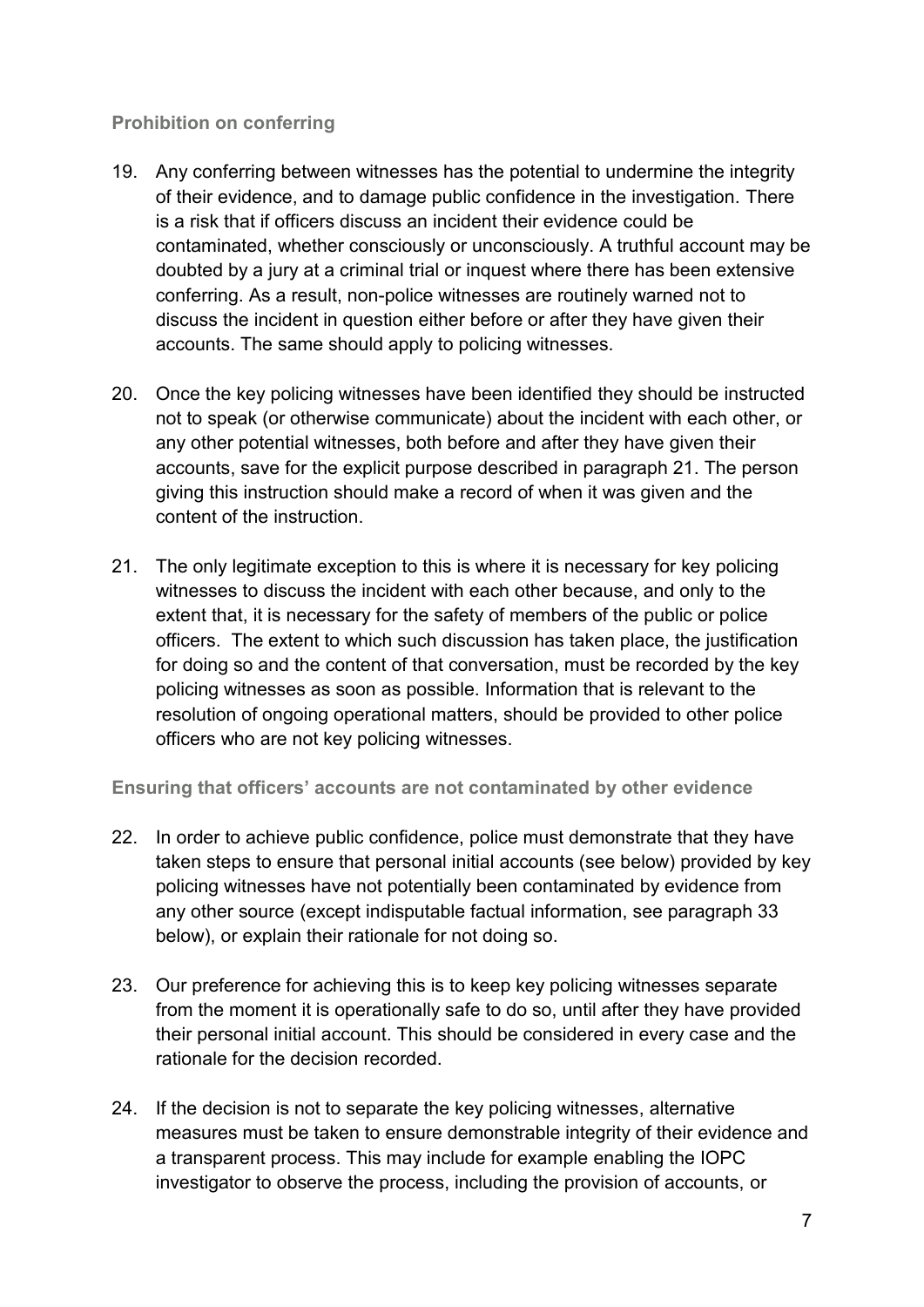#### **Prohibition on conferring**

- 19. Any conferring between witnesses has the potential to undermine the integrity of their evidence, and to damage public confidence in the investigation. There is a risk that if officers discuss an incident their evidence could be contaminated, whether consciously or unconsciously. A truthful account may be doubted by a jury at a criminal trial or inquest where there has been extensive conferring. As a result, non-police witnesses are routinely warned not to discuss the incident in question either before or after they have given their accounts. The same should apply to policing witnesses.
- 20. Once the key policing witnesses have been identified they should be instructed not to speak (or otherwise communicate) about the incident with each other, or any other potential witnesses, both before and after they have given their accounts, save for the explicit purpose described in paragraph 21. The person giving this instruction should make a record of when it was given and the content of the instruction.
- 21. The only legitimate exception to this is where it is necessary for key policing witnesses to discuss the incident with each other because, and only to the extent that, it is necessary for the safety of members of the public or police officers. The extent to which such discussion has taken place, the justification for doing so and the content of that conversation, must be recorded by the key policing witnesses as soon as possible. Information that is relevant to the resolution of ongoing operational matters, should be provided to other police officers who are not key policing witnesses.

**Ensuring that officers' accounts are not contaminated by other evidence** 

- 22. In order to achieve public confidence, police must demonstrate that they have taken steps to ensure that personal initial accounts (see below) provided by key policing witnesses have not potentially been contaminated by evidence from any other source (except indisputable factual information, see paragraph 33 below), or explain their rationale for not doing so.
- 23. Our preference for achieving this is to keep key policing witnesses separate from the moment it is operationally safe to do so, until after they have provided their personal initial account. This should be considered in every case and the rationale for the decision recorded.
- 24. If the decision is not to separate the key policing witnesses, alternative measures must be taken to ensure demonstrable integrity of their evidence and a transparent process. This may include for example enabling the IOPC investigator to observe the process, including the provision of accounts, or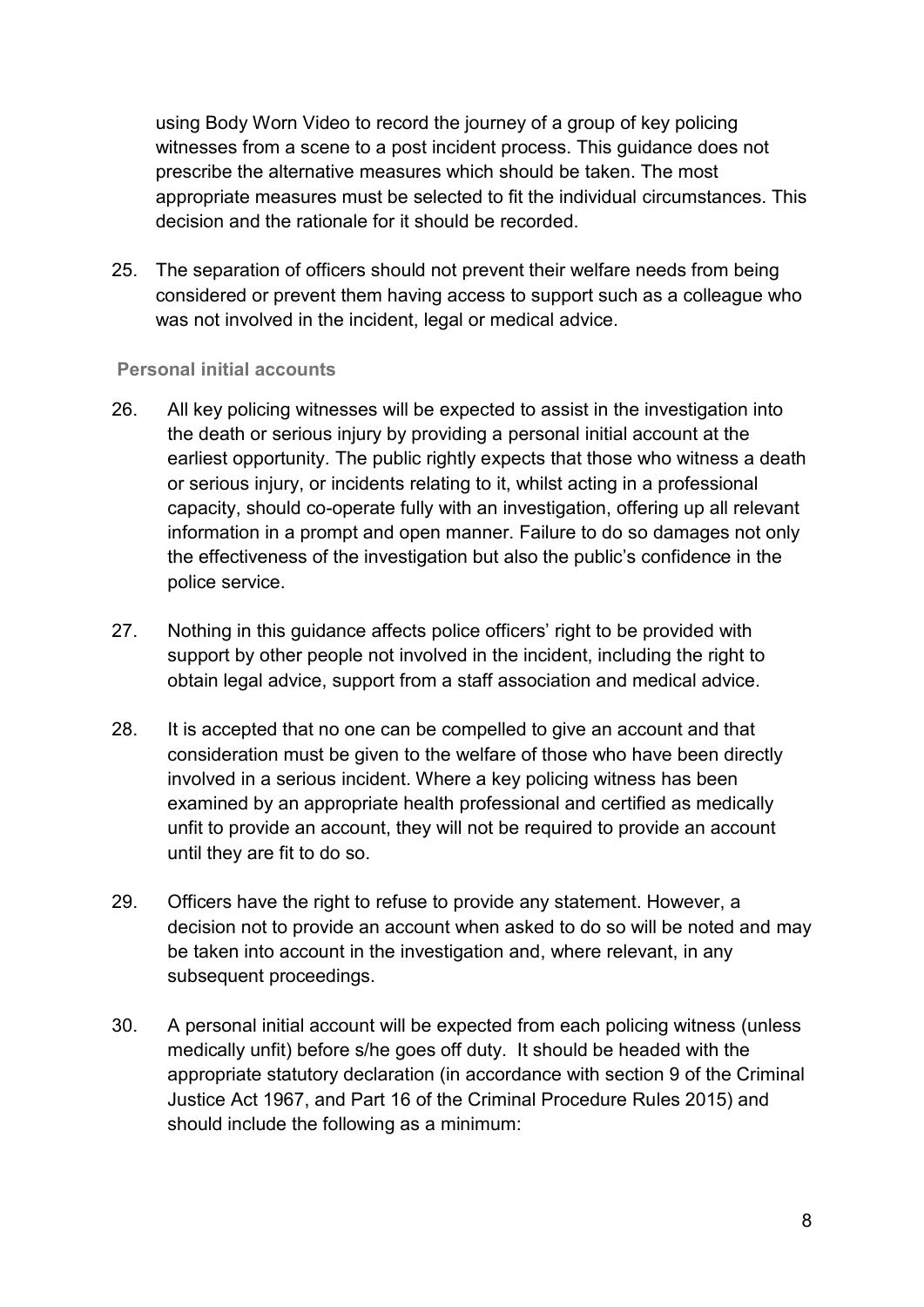using Body Worn Video to record the journey of a group of key policing witnesses from a scene to a post incident process. This guidance does not prescribe the alternative measures which should be taken. The most appropriate measures must be selected to fit the individual circumstances. This decision and the rationale for it should be recorded.

25. The separation of officers should not prevent their welfare needs from being considered or prevent them having access to support such as a colleague who was not involved in the incident, legal or medical advice.

#### **Personal initial accounts**

- 26. All key policing witnesses will be expected to assist in the investigation into the death or serious injury by providing a personal initial account at the earliest opportunity. The public rightly expects that those who witness a death or serious injury, or incidents relating to it, whilst acting in a professional capacity, should co-operate fully with an investigation, offering up all relevant information in a prompt and open manner. Failure to do so damages not only the effectiveness of the investigation but also the public's confidence in the police service.
- 27. Nothing in this guidance affects police officers' right to be provided with support by other people not involved in the incident, including the right to obtain legal advice, support from a staff association and medical advice.
- 28. It is accepted that no one can be compelled to give an account and that consideration must be given to the welfare of those who have been directly involved in a serious incident. Where a key policing witness has been examined by an appropriate health professional and certified as medically unfit to provide an account, they will not be required to provide an account until they are fit to do so.
- 29. Officers have the right to refuse to provide any statement. However, a decision not to provide an account when asked to do so will be noted and may be taken into account in the investigation and, where relevant, in any subsequent proceedings.
- 30. A personal initial account will be expected from each policing witness (unless medically unfit) before s/he goes off duty. It should be headed with the appropriate statutory declaration (in accordance with section 9 of the Criminal Justice Act 1967, and Part 16 of the Criminal Procedure Rules 2015) and should include the following as a minimum: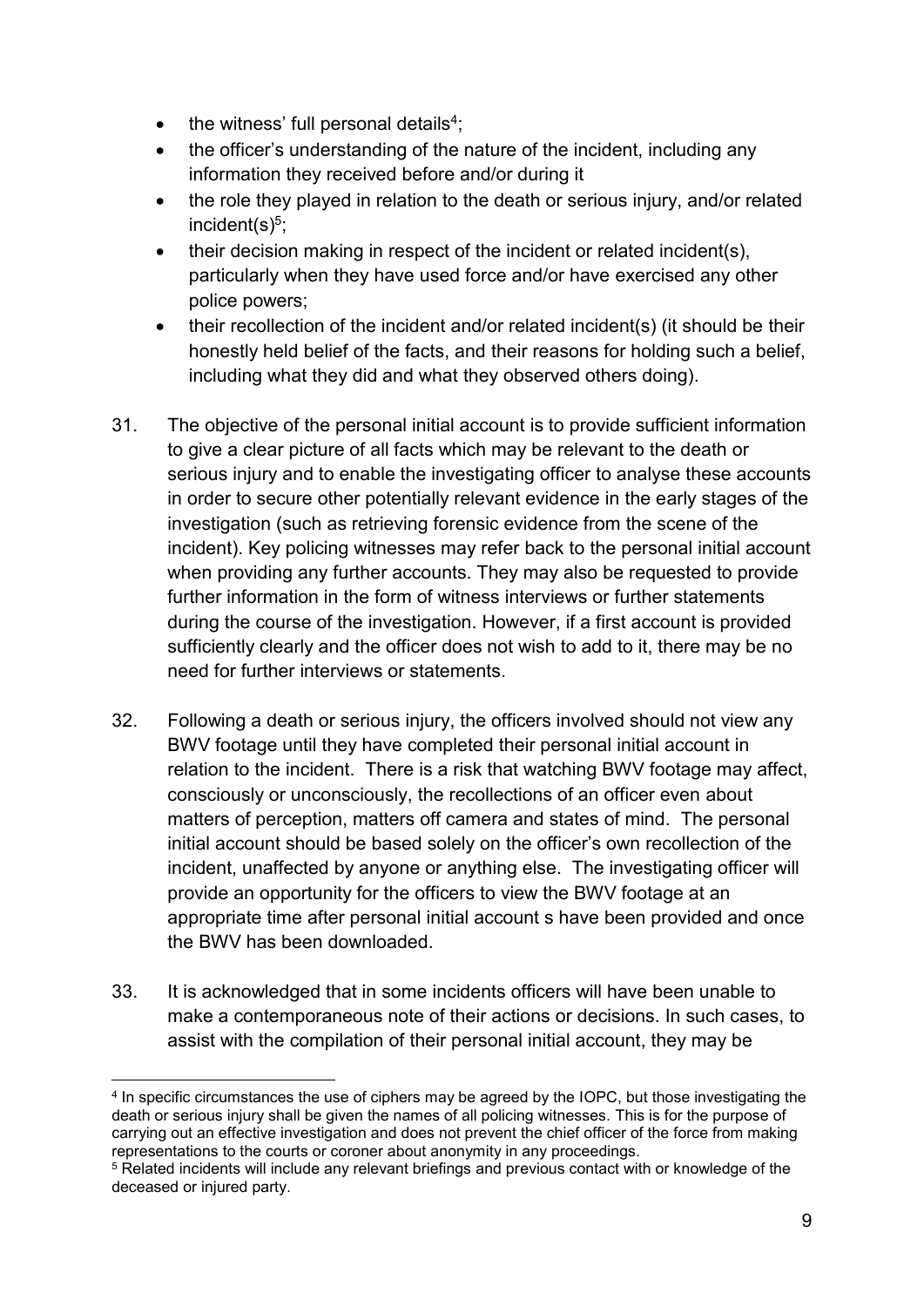- $\bullet$  the witness' full personal details<sup>4</sup>;
- the officer's understanding of the nature of the incident, including any information they received before and/or during it
- the role they played in relation to the death or serious injury, and/or related incident(s)<sup>5</sup>;
- their decision making in respect of the incident or related incident(s), particularly when they have used force and/or have exercised any other police powers;
- their recollection of the incident and/or related incident(s) (it should be their honestly held belief of the facts, and their reasons for holding such a belief, including what they did and what they observed others doing).
- 31. The objective of the personal initial account is to provide sufficient information to give a clear picture of all facts which may be relevant to the death or serious injury and to enable the investigating officer to analyse these accounts in order to secure other potentially relevant evidence in the early stages of the investigation (such as retrieving forensic evidence from the scene of the incident). Key policing witnesses may refer back to the personal initial account when providing any further accounts. They may also be requested to provide further information in the form of witness interviews or further statements during the course of the investigation. However, if a first account is provided sufficiently clearly and the officer does not wish to add to it, there may be no need for further interviews or statements.
- 32. Following a death or serious injury, the officers involved should not view any BWV footage until they have completed their personal initial account in relation to the incident. There is a risk that watching BWV footage may affect, consciously or unconsciously, the recollections of an officer even about matters of perception, matters off camera and states of mind. The personal initial account should be based solely on the officer's own recollection of the incident, unaffected by anyone or anything else. The investigating officer will provide an opportunity for the officers to view the BWV footage at an appropriate time after personal initial account s have been provided and once the BWV has been downloaded.
- 33. It is acknowledged that in some incidents officers will have been unable to make a contemporaneous note of their actions or decisions. In such cases, to assist with the compilation of their personal initial account, they may be

**.** 

<sup>4</sup> In specific circumstances the use of ciphers may be agreed by the IOPC, but those investigating the death or serious injury shall be given the names of all policing witnesses. This is for the purpose of carrying out an effective investigation and does not prevent the chief officer of the force from making representations to the courts or coroner about anonymity in any proceedings.

<sup>5</sup> Related incidents will include any relevant briefings and previous contact with or knowledge of the deceased or injured party.